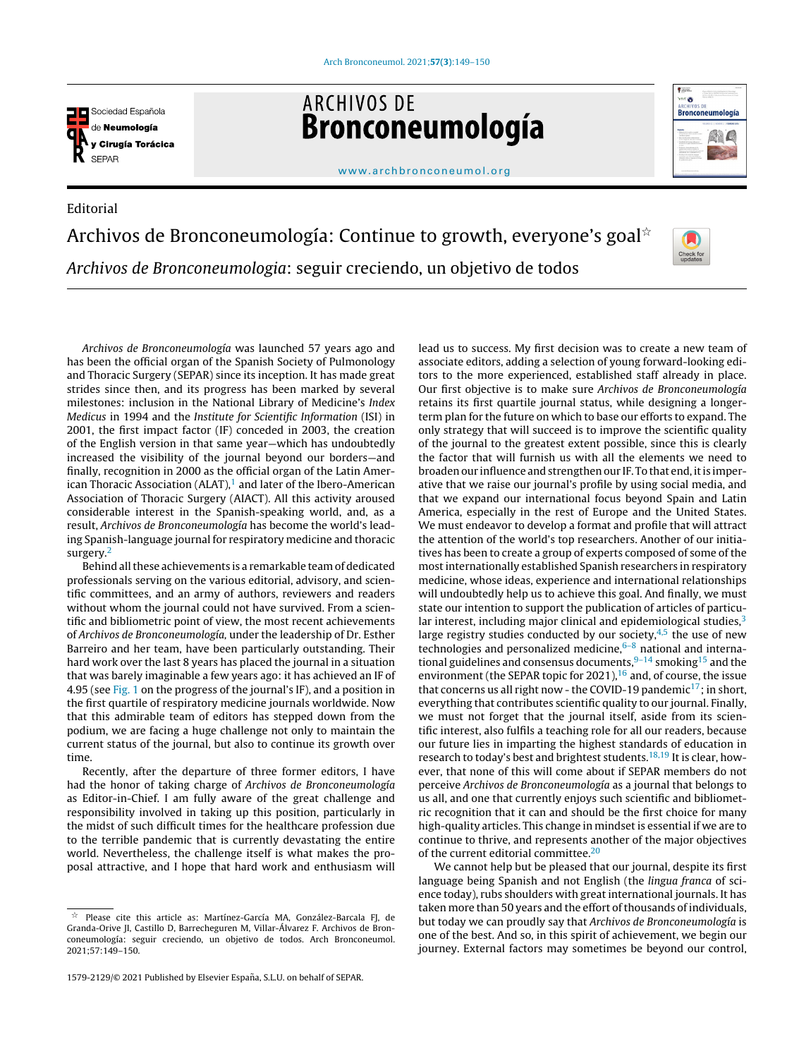

Editorial

**ARCHIVOS DE** Bronconeumología



## [www.archbronconeumol.org](http://www.archbronconeumol.org)

## Archivos de Bronconeumología: Continue to growth, everyone's goal $^{\star}$ Archivos de Bronconeumologia: seguir creciendo, un objetivo de todos



Archivos de Bronconeumología was launched 57 years ago and has been the official organ of the Spanish Society of Pulmonology and Thoracic Surgery (SEPAR) since its inception. It has made great strides since then, and its progress has been marked by several milestones: inclusion in the National Library of Medicine's Index Medicus in 1994 and the Institute for Scientific Information (ISI) in 2001, the first impact factor (IF) conceded in 2003, the creation of the English version in that same year—which has undoubtedly increased the visibility of the journal beyond our borders—and finally, recognition in 2000 as the official organ of the Latin American Thoracic Association (ALAT), $<sup>1</sup>$  $<sup>1</sup>$  $<sup>1</sup>$  and later of the Ibero-American</sup> Association of Thoracic Surgery (AIACT). All this activity aroused considerable interest in the Spanish-speaking world, and, as a result, Archivos de Bronconeumología has become the world's leading Spanish-language journal for respiratory medicine and thoracic surgery.<sup>[2](#page-1-0)</sup>

Behind all these achievements is a remarkable team of dedicated professionals serving on the various editorial, advisory, and scientific committees, and an army of authors, reviewers and readers without whom the journal could not have survived. From a scientific and bibliometric point of view, the most recent achievements of Archivos de Bronconeumología, under the leadership of Dr. Esther Barreiro and her team, have been particularly outstanding. Their hard work over the last 8 years has placed the journal in a situation that was barely imaginable a few years ago: it has achieved an IF of 4.95 (see [Fig.](#page-1-0) 1 on the progress of the journal's IF), and a position in the first quartile of respiratory medicine journals worldwide. Now that this admirable team of editors has stepped down from the podium, we are facing a huge challenge not only to maintain the current status of the journal, but also to continue its growth over time.

Recently, after the departure of three former editors, I have had the honor of taking charge of Archivos de Bronconeumología as Editor-in-Chief. I am fully aware of the great challenge and responsibility involved in taking up this position, particularly in the midst of such difficult times for the healthcare profession due to the terrible pandemic that is currently devastating the entire world. Nevertheless, the challenge itself is what makes the proposal attractive, and I hope that hard work and enthusiasm will lead us to success. My first decision was to create a new team of associate editors, adding a selection of young forward-looking editors to the more experienced, established staff already in place. Our first objective is to make sure Archivos de Bronconeumología retains its first quartile journal status, while designing a longerterm plan for the future on which to base our efforts to expand. The only strategy that will succeed is to improve the scientific quality of the journal to the greatest extent possible, since this is clearly the factor that will furnish us with all the elements we need to broaden our influence and strengthen our IF. To that end, it is imperative that we raise our journal's profile by using social media, and that we expand our international focus beyond Spain and Latin America, especially in the rest of Europe and the United States. We must endeavor to develop a format and profile that will attract the attention of the world's top researchers. Another of our initiatives has been to create a group of experts composed of some of the mostinternationally established Spanish researchers in respiratory medicine, whose ideas, experience and international relationships will undoubtedly help us to achieve this goal. And finally, we must state our intention to support the publication of articles of particular interest, including major clinical and epidemiological studies, $3$ large registry studies conducted by our society, $4.5$  the use of new technologies and personalized medicine, $6-8$  national and international guidelines and consensus documents, $9-14$  smoking<sup>[15](#page-1-0)</sup> and the environment (the SEPAR topic for 2021), $16$  and, of course, the issue that concerns us all right now - the COVID-19 pandemic<sup>[17](#page-1-0)</sup>; in short, everything that contributes scientific quality to our journal. Finally, we must not forget that the journal itself, aside from its scientific interest, also fulfils a teaching role for all our readers, because our future lies in imparting the highest standards of education in research to today's best and brightest students.<sup>[18,19](#page-1-0)</sup> It is clear, however, that none of this will come about if SEPAR members do not perceive Archivos de Bronconeumología as a journal that belongs to us all, and one that currently enjoys such scientific and bibliometric recognition that it can and should be the first choice for many high-quality articles. This change in mindset is essential if we are to continue to thrive, and represents another of the major objectives of the current editorial committee.[20](#page-1-0)

We cannot help but be pleased that our journal, despite its first language being Spanish and not English (the lingua franca of science today), rubs shoulders with great international journals. It has taken more than 50 years and the effort of thousands of individuals, but today we can proudly say that Archivos de Bronconeumología is one of the best. And so, in this spirit of achievement, we begin our journey. External factors may sometimes be beyond our control,

 $\frac{1}{24}$  Please cite this article as: Martínez-García MA, González-Barcala FJ, de Granda-Orive JI, Castillo D, Barrecheguren M, Villar-Álvarez F. Archivos de Bronconeumología: seguir creciendo, un objetivo de todos. Arch Bronconeumol. 2021;57:149–150.

<sup>1579-2129/© 2021</sup> Published by Elsevier España, S.L.U. on behalf of SEPAR.